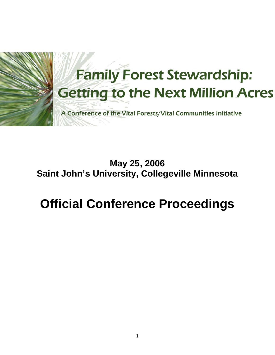

# **May 25, 2006 Saint John's University, Collegeville Minnesota**

# **Official Conference Proceedings**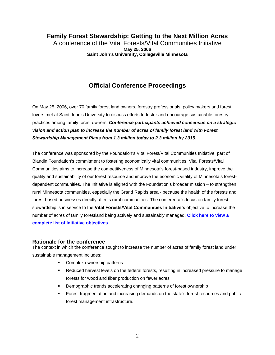#### **Family Forest Stewardship: Getting to the Next Million Acres**  A conference of the Vital Forests/Vital Communities Initiative **May 25, 2006**

**Saint John's University, Collegeville Minnesota** 

## **Official Conference Proceedings**

On May 25, 2006, over 70 family forest land owners, forestry professionals, policy makers and forest lovers met at Saint John's University to discuss efforts to foster and encourage sustainable forestry practices among family forest owners. *Conference participants achieved consensus on a strategic vision and action plan to increase the number of acres of family forest land with Forest Stewardship Management Plans from 1.3 million today to 2.3 million by 2015.*

The conference was sponsored by the Foundation's Vital Forest/Vital Communities Initiative, part of Blandin Foundation's commitment to fostering economically vital communities. Vital Forests/Vital Communities aims to increase the competitiveness of Minnesota's forest-based industry, improve the quality and sustainability of our forest resource and improve the economic vitality of Minnesota's forestdependent communities. The Initiative is aligned with the Foundation's broader mission – to strengthen rural Minnesota communities, especially the Grand Rapids area - because the health of the forests and forest-based businesses directly affects rural communities. The conference's focus on family forest stewardship is in service to the **Vital Forests/Vital Communities Initiative's** objective to increase the [number of acres of family forestland being actively and sustainably managed.](http://www.blandinfoundation.org/html/public_vital.cfm) **Click here to view a complete list of Initiative objectives**.

#### **Rationale for the conference**

The context in which the conference sought to increase the number of acres of family forest land under sustainable management includes:

- Complex ownership patterns
- Reduced harvest levels on the federal forests, resulting in increased pressure to manage forests for wood and fiber production on fewer acres
- Demographic trends accelerating changing patterns of forest ownership
- Forest fragmentation and increasing demands on the state's forest resources and public forest management infrastructure.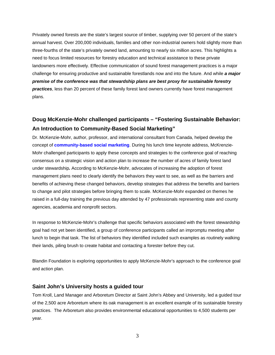Privately owned forests are the state's largest source of timber, supplying over 50 percent of the state's annual harvest. Over 200,000 individuals, families and other non-industrial owners hold slightly more than three-fourths of the state's privately owned land, amounting to nearly six million acres. This highlights a need to focus limited resources for forestry education and technical assistance to these private landowners more effectively. Effective communication of sound forest management practices is a major challenge for ensuring productive and sustainable forestlands now and into the future. And while *a major premise of the conference was that stewardship plans are best proxy for sustainable forestry practices*, less than 20 percent of these family forest land owners currently have forest management plans.

### **Doug McKenzie-Mohr challenged participants – "Fostering Sustainable Behavior: An Introduction to Community-Based Social Marketing"**

Dr. McKenzie-Mohr, author, professor, and international consultant from Canada, helped develop the concept of **[community-based social marketing](http://www.cbsm.com/)**. During his lunch time keynote address, McKrenzie-Mohr challenged participants to apply these concepts and strategies to the conference goal of reaching consensus on a strategic vision and action plan to increase the number of acres of family forest land under stewardship*.* According to McKenzie-Mohr, advocates of increasing the adoption of forest management plans need to clearly identify the behaviors they want to see, as well as the barriers and benefits of achieving these changed behaviors, develop strategies that address the benefits and barriers to change and pilot strategies before bringing them to scale. McKenzie-Mohr expanded on themes he raised in a full-day training the previous day attended by 47 professionals representing state and county agencies, academia and nonprofit sectors.

In response to McKenzie-Mohr's challenge that specific behaviors associated with the forest stewardship goal had not yet been identified, a group of conference participants called an impromptu meeting after lunch to begin that task. The list of behaviors they identified included such examples as routinely walking their lands, piling brush to create habitat and contacting a forester before they cut.

Blandin Foundation is exploring opportunities to apply McKenzie-Mohr's approach to the conference goal and action plan.

#### **Saint John's University hosts a guided tour**

Tom Kroll, Land Manager and Arboretum Director at Saint John's Abbey and University, led a guided tour of the 2,500 acre Arboretum where its oak management is an excellent example of its sustainable forestry practices. The Arboretum also provides environmental educational opportunities to 4,500 students per year.

3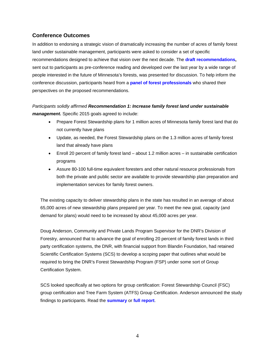#### **Conference Outcomes**

In addition to endorsing a strategic vision of dramatically increasing the number of acres of family forest land under sustainable management, participants were asked to consider a set of specific recommendations designed to achieve that vision over the next decade. The **[draft recommendations,](http://www.blandinfoundation.org/html/documents/VFVC_Family_Forest_06/Pre-conference_document_FINAL.pdf)** sent out to participants as pre-conference reading and developed over the last year by a wide range of people interested in the future of Minnesota's forests, was presented for discussion. To help inform the conference discussion, participants heard from a **[panel of forest professionals](http://www.blandinfoundation.org/html/public_vfvc%20_ffconf_061.cfm)** who shared their perspectives on the proposed recommendations.

*Participants solidly affirmed Recommendation 1: Increase family forest land under sustainable management.* Specific 2015 goals agreed to include:

- Prepare Forest Stewardship plans for 1 million acres of Minnesota family forest land that do not currently have plans
- Update, as needed, the Forest Stewardship plans on the 1.3 million acres of family forest land that already have plans
- Enroll 20 percent of family forest land about 1.2 million acres in sustainable certification programs
- Assure 80-100 full-time equivalent foresters and other natural resource professionals from both the private and public sector are available to provide stewardship plan preparation and implementation services for family forest owners.

The existing capacity to deliver stewardship plans in the state has resulted in an average of about 65,000 acres of new stewardship plans prepared per year. To meet the new goal, capacity (and demand for plans) would need to be increased by about 45,000 acres per year.

Doug Anderson, Community and Private Lands Program Supervisor for the DNR's Division of Forestry, announced that to advance the goal of enrolling 20 percent of family forest lands in third party certification systems, the DNR, with financial support from Blandin Foundation, had retained Scientific Certification Systems (SCS) to develop a scoping paper that outlines what would be required to bring the DNR's Forest Stewardship Program (FSP) under some sort of Group Certification System.

SCS looked specifically at two options for group certification: Forest Stewardship Council (FSC) group certification and Tree Farm System (ATFS) Group Certification. Anderson announced the study findings to participants. Read the **[summary](http://www.blandinfoundation.org/html/documents/VFVC_Family_Forest_06/SCS_Gap_Summary.pdf)** or **[full report](http://www.blandinfoundation.org/html/documents/VFVC_Family_Forest_06/Report%20on%20Forest%20Stewardship%20Program%20in%20Minnesota%20Final%2005.23.06.pdf)**.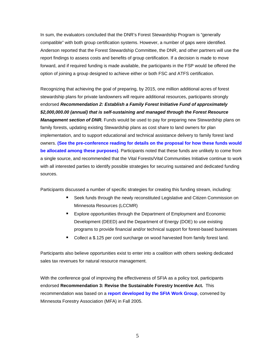In sum, the evaluators concluded that the DNR's Forest Stewardship Program is "generally compatible" with both group certification systems. However, a number of gaps were identified. Anderson reported that the Forest Stewardship Committee, the DNR, and other partners will use the report findings to assess costs and benefits of group certification. If a decision is made to move forward, and if required funding is made available, the participants in the FSP would be offered the option of joining a group designed to achieve either or both FSC and ATFS certification.

Recognizing that achieving the goal of preparing, by 2015, one million additional acres of forest stewardship plans for private landowners will require additional resources, participants strongly endorsed *Recommendation 2: Establish a Family Forest Initiative Fund of approximately \$2,000,000.00 (annual) that is self-sustaining and managed through the Forest Resource Management section of DNR.* Funds would be used to pay for preparing new Stewardship plans on family forests, updating existing Stewardship plans as cost share to land owners for plan implementation, and to support educational and technical assistance delivery to family forest land owners. **[\(See the pre-conference reading for details on the proposal for how these funds would](http://www.blandinfoundation.org/html/documents/VFVC_Family_Forest_06/Pre-conference_document_FINAL.pdf) be allocated among these purposes)**. Participants noted that these funds are unlikely to come from a single source, and recommended that the Vital Forests/Vital Communities Initiative continue to work with all interested parties to identify possible strategies for securing sustained and dedicated funding sources.

Participants discussed a number of specific strategies for creating this funding stream, including:

- Seek funds through the newly reconstituted Legislative and Citizen Commission on Minnesota Resources (LCCMR)
- **Explore opportunities through the Department of Employment and Economic** Development (DEED) and the Department of Energy (DOE) to use existing programs to provide financial and/or technical support for forest-based businesses
- **Collect a \$.125 per cord surcharge on wood harvested from family forest land.**

Participants also believe opportunities exist to enter into a coalition with others seeking dedicated sales tax revenues for natural resource management.

With the conference goal of improving the effectiveness of SFIA as a policy tool, participants endorsed **Recommendation 3: Revise the Sustainable Forestry Incentive Act.** This recommendation was based on a **[report developed by the SFIA Work Group](http://www.blandinfoundation.org/html/documents/SFIA_Revisions_FINAL_032706.pdf)**, convened by Minnesota Forestry Association (MFA) in Fall 2005.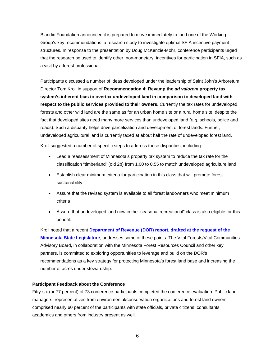Blandin Foundation announced it is prepared to move immediately to fund one of the Working Group's key recommendations: a research study to investigate optimal SFIA incentive payment structures. In response to the presentation by Doug McKenzie-Mohr, conference participants urged that the research be used to identify other, non-monetary, incentives for participation in SFIA, such as a visit by a forest professional.

Participants discussed a number of ideas developed under the leadership of Saint John's Arboretum Director Tom Kroll in support of **Recommendation 4: Revamp the** *ad valorem* **property tax system's inherent bias to overtax undeveloped land in comparison to developed land with respect to the public services provided to their owners.** Currently the tax rates for undeveloped forests and other wild land are the same as for an urban home site or a rural home site, despite the fact that developed sites need many more services than undeveloped land (*e.g.* schools, police and roads). Such a disparity helps drive parcelization and development of forest lands. Further, undeveloped agricultural land is currently taxed at about half the rate of undeveloped forest land.

Kroll suggested a number of specific steps to address these disparities, including:

- Lead a reassessment of Minnesota's property tax system to reduce the tax rate for the classification "timberland" (old 2b) from 1.00 to 0.55 to match undeveloped agriculture land
- Establish clear minimum criteria for participation in this class that will promote forest sustainability
- Assure that the revised system is available to all forest landowners who meet minimum criteria
- Assure that undeveloped land now in the "seasonal recreational" class is also eligible for this benefit.

Kroll noted that a recent **[Department of Revenue \(DOR\) report, drafted at the request of the](http://www.taxes.state.mn.us/taxes/property/other_supporting_content/final_timber-woodlands_report.pdf) Minnesota State Legislature**, addresses some of these points. The Vital Forests/Vital Communities Advisory Board, in collaboration with the Minnesota Forest Resources Council and other key partners, is committed to exploring opportunities to leverage and build on the DOR's recommendations as a key strategy for protecting Minnesota's forest land base and increasing the number of acres under stewardship.

#### **Participant Feedback about the Conference**

Fifty-six (or 77 percent) of 73 conference participants completed the conference evaluation. Public land managers, representatives from environmental/conservation organizations and forest land owners comprised nearly 60 percent of the participants with state officials, private citizens, consultants, academics and others from industry present as well.